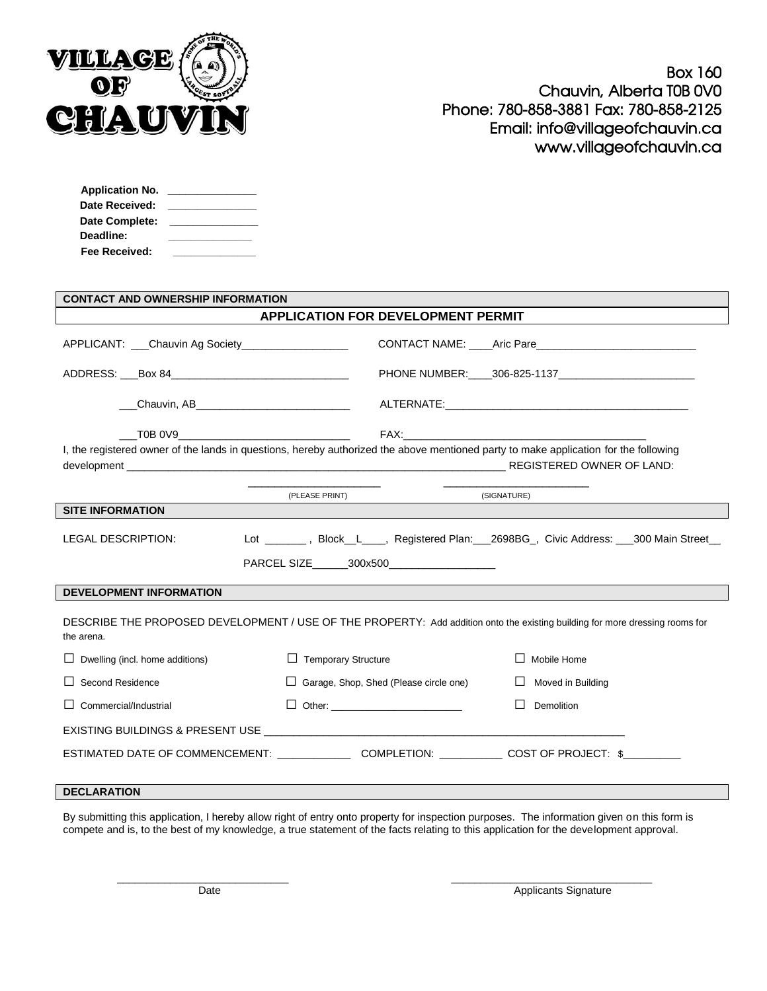

| <b>Application No.</b> |  |
|------------------------|--|
| Date Received:         |  |
| Date Complete:         |  |
| Deadline:              |  |
| <b>Fee Received:</b>   |  |

| <b>CONTACT AND OWNERSHIP INFORMATION</b>                                                                                                                                      |                                                 |                             |  |
|-------------------------------------------------------------------------------------------------------------------------------------------------------------------------------|-------------------------------------------------|-----------------------------|--|
| APPLICATION FOR DEVELOPMENT PERMIT                                                                                                                                            |                                                 |                             |  |
| APPLICANT: Chauvin Ag Society                                                                                                                                                 |                                                 |                             |  |
| ADDRESS: ___Box 84__________________________________                                                                                                                          |                                                 |                             |  |
| ___Chauvin, AB________________________________                                                                                                                                |                                                 |                             |  |
|                                                                                                                                                                               |                                                 |                             |  |
| I, the registered owner of the lands in questions, hereby authorized the above mentioned party to make application for the following                                          |                                                 |                             |  |
|                                                                                                                                                                               | the control of the control of<br>(PLEASE PRINT) | (SIGNATURE)                 |  |
| <b>SITE INFORMATION</b>                                                                                                                                                       |                                                 |                             |  |
| <b>LEGAL DESCRIPTION:</b><br>Lot ________, Block_L____, Registered Plan:___2698BG_, Civic Address: ___300 Main Street__<br>PARCEL SIZE ________ 300x500______________________ |                                                 |                             |  |
| <b>DEVELOPMENT INFORMATION</b>                                                                                                                                                |                                                 |                             |  |
| DESCRIBE THE PROPOSED DEVELOPMENT / USE OF THE PROPERTY: Add addition onto the existing building for more dressing rooms for<br>the arena.                                    |                                                 |                             |  |
| Dwelling (incl. home additions)                                                                                                                                               | $\Box$ Temporary Structure                      | Mobile Home<br>$\perp$      |  |
| Second Residence                                                                                                                                                              | $\Box$ Garage, Shop, Shed (Please circle one)   | Moved in Building<br>$\Box$ |  |
| Commercial/Industrial                                                                                                                                                         |                                                 | $\perp$<br>Demolition       |  |
|                                                                                                                                                                               |                                                 |                             |  |
| ESTIMATED DATE OF COMMENCEMENT: COMPLETION: COMPLETION: COST OF PROJECT: \$                                                                                                   |                                                 |                             |  |

## **DECLARATION**

By submitting this application, I hereby allow right of entry onto property for inspection purposes. The information given on this form is compete and is, to the best of my knowledge, a true statement of the facts relating to this application for the development approval.